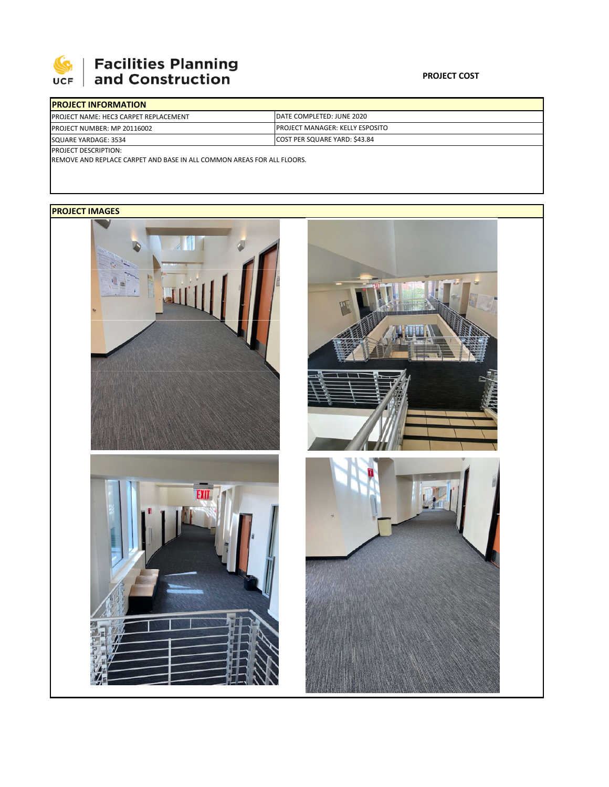

## **Facilities Planning**<br>and Construction

| <b>IPROJECT INFORMATION</b>                   |                                         |
|-----------------------------------------------|-----------------------------------------|
| <b>IPROJECT NAME: HEC3 CARPET REPLACEMENT</b> | DATE COMPLETED: JUNE 2020               |
| <b>PROJECT NUMBER: MP 20116002</b>            | <b>IPROJECT MANAGER: KELLY ESPOSITO</b> |
| SQUARE YARDAGE: 3534                          | COST PER SQUARE YARD: \$43.84           |
| <b>PROJECT DESCRIPTION:</b>                   |                                         |

REMOVE AND REPLACE CARPET AND BASE IN ALL COMMON AREAS FOR ALL FLOORS.

## **PROJECT IMAGES**